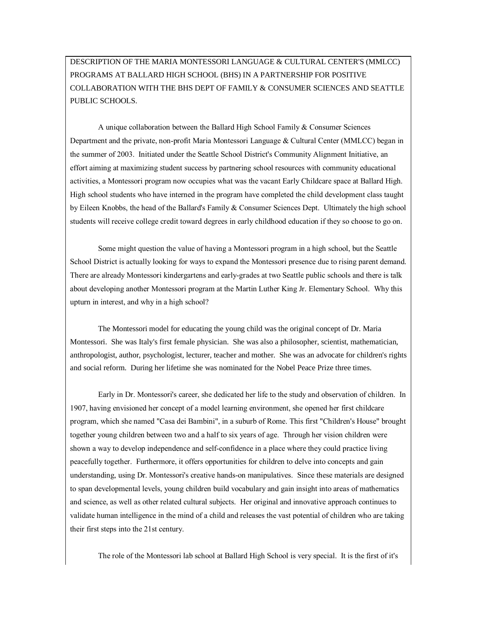DESCRIPTION OF THE MARIA MONTESSORI LANGUAGE & CULTURAL CENTER'S (MMLCC) PROGRAMS AT BALLARD HIGH SCHOOL (BHS) IN A PARTNERSHIP FOR POSITIVE COLLABORATION WITH THE BHS DEPT OF FAMILY & CONSUMER SCIENCES AND SEATTLE PUBLIC SCHOOLS.

 A unique collaboration between the Ballard High School Family & Consumer Sciences Department and the private, non-profit Maria Montessori Language & Cultural Center (MMLCC) began in the summer of 2003. Initiated under the Seattle School District's Community Alignment Initiative, an effort aiming at maximizing student success by partnering school resources with community educational activities, a Montessori program now occupies what was the vacant Early Childcare space at Ballard High. High school students who have interned in the program have completed the child development class taught by Eileen Knobbs, the head of the Ballard's Family & Consumer Sciences Dept. Ultimately the high school students will receive college credit toward degrees in early childhood education if they so choose to go on.

 Some might question the value of having a Montessori program in a high school, but the Seattle School District is actually looking for ways to expand the Montessori presence due to rising parent demand. There are already Montessori kindergartens and early-grades at two Seattle public schools and there is talk about developing another Montessori program at the Martin Luther King Jr. Elementary School. Why this upturn in interest, and why in a high school?

 The Montessori model for educating the young child was the original concept of Dr. Maria Montessori. She was Italy's first female physician. She was also a philosopher, scientist, mathematician, anthropologist, author, psychologist, lecturer, teacher and mother. She was an advocate for children's rights and social reform. During her lifetime she was nominated for the Nobel Peace Prize three times.

 Early in Dr. Montessori's career, she dedicated her life to the study and observation of children. In 1907, having envisioned her concept of a model learning environment, she opened her first childcare program, which she named "Casa dei Bambini", in a suburb of Rome. This first "Children's House" brought together young children between two and a half to six years of age. Through her vision children were shown a way to develop independence and self-confidence in a place where they could practice living peacefully together. Furthermore, it offers opportunities for children to delve into concepts and gain understanding, using Dr. Montessori's creative hands-on manipulatives. Since these materials are designed to span developmental levels, young children build vocabulary and gain insight into areas of mathematics and science, as well as other related cultural subjects. Her original and innovative approach continues to validate human intelligence in the mind of a child and releases the vast potential of children who are taking their first steps into the 21st century.

The role of the Montessori lab school at Ballard High School is very special. It is the first of it's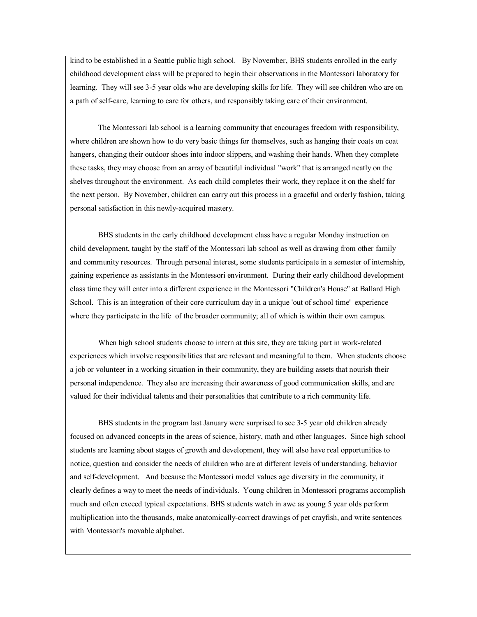kind to be established in a Seattle public high school. By November, BHS students enrolled in the early childhood development class will be prepared to begin their observations in the Montessori laboratory for learning. They will see 3-5 year olds who are developing skills for life. They will see children who are on a path of self-care, learning to care for others, and responsibly taking care of their environment.

 The Montessori lab school is a learning community that encourages freedom with responsibility, where children are shown how to do very basic things for themselves, such as hanging their coats on coat hangers, changing their outdoor shoes into indoor slippers, and washing their hands. When they complete these tasks, they may choose from an array of beautiful individual "work" that is arranged neatly on the shelves throughout the environment. As each child completes their work, they replace it on the shelf for the next person. By November, children can carry out this process in a graceful and orderly fashion, taking personal satisfaction in this newly-acquired mastery.

 BHS students in the early childhood development class have a regular Monday instruction on child development, taught by the staff of the Montessori lab school as well as drawing from other family and community resources. Through personal interest, some students participate in a semester of internship, gaining experience as assistants in the Montessori environment. During their early childhood development class time they will enter into a different experience in the Montessori "Children's House" at Ballard High School. This is an integration of their core curriculum day in a unique 'out of school time' experience where they participate in the life of the broader community; all of which is within their own campus.

 When high school students choose to intern at this site, they are taking part in work-related experiences which involve responsibilities that are relevant and meaningful to them. When students choose a job or volunteer in a working situation in their community, they are building assets that nourish their personal independence. They also are increasing their awareness of good communication skills, and are valued for their individual talents and their personalities that contribute to a rich community life.

 BHS students in the program last January were surprised to see 3-5 year old children already focused on advanced concepts in the areas of science, history, math and other languages. Since high school students are learning about stages of growth and development, they will also have real opportunities to notice, question and consider the needs of children who are at different levels of understanding, behavior and self-development. And because the Montessori model values age diversity in the community, it clearly defines a way to meet the needs of individuals. Young children in Montessori programs accomplish much and often exceed typical expectations. BHS students watch in awe as young 5 year olds perform multiplication into the thousands, make anatomically-correct drawings of pet crayfish, and write sentences with Montessori's movable alphabet.